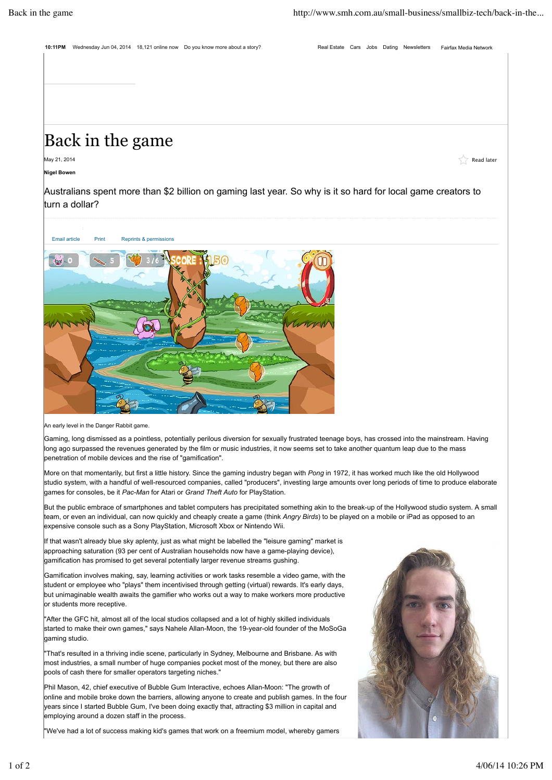**10:11PM** Wednesday Jun 04, 2014 18,121 online now Do you know more about a story? Real Estate Cars Jobs Dating Newsletters Fairfax Media Network

## Back in the game

May 21, 2014  $\,$  <code>Read later</code>  $\,$  <code>Read later</code>  $\,$  <code>Read later</code>  $\,$  <code>Read later</code>

**Nigel Bowen**

Australians spent more than \$2 billion on gaming last year. So why is it so hard for local game creators to turn a dollar?



An early level in the Danger Rabbit game.

Gaming, long dismissed as a pointless, potentially perilous diversion for sexually frustrated teenage boys, has crossed into the mainstream. Having long ago surpassed the revenues generated by the film or music industries, it now seems set to take another quantum leap due to the mass penetration of mobile devices and the rise of "gamification".

More on that momentarily, but first a little history. Since the gaming industry began with *Pong* in 1972, it has worked much like the old Hollywood studio system, with a handful of well-resourced companies, called "producers", investing large amounts over long periods of time to produce elaborate games for consoles, be it *Pac-Man* for Atari or *Grand Theft Auto* for PlayStation.

But the public embrace of smartphones and tablet computers has precipitated something akin to the break-up of the Hollywood studio system. A small team, or even an individual, can now quickly and cheaply create a game (think *Angry Birds*) to be played on a mobile or iPad as opposed to an expensive console such as a Sony PlayStation, Microsoft Xbox or Nintendo Wii.

If that wasn't already blue sky aplenty, just as what might be labelled the "leisure gaming" market is approaching saturation (93 per cent of Australian households now have a game-playing device), gamification has promised to get several potentially larger revenue streams gushing.

Gamification involves making, say, learning activities or work tasks resemble a video game, with the student or employee who "plays" them incentivised through getting (virtual) rewards. It's early days, but unimaginable wealth awaits the gamifier who works out a way to make workers more productive or students more receptive.

"After the GFC hit, almost all of the local studios collapsed and a lot of highly skilled individuals started to make their own games," says Nahele Allan-Moon, the 19-year-old founder of the MoSoGa gaming studio.

"That's resulted in a thriving indie scene, particularly in Sydney, Melbourne and Brisbane. As with most industries, a small number of huge companies pocket most of the money, but there are also pools of cash there for smaller operators targeting niches."

Phil Mason, 42, chief executive of Bubble Gum Interactive, echoes Allan-Moon: "The growth of online and mobile broke down the barriers, allowing anyone to create and publish games. In the four years since I started Bubble Gum, I've been doing exactly that, attracting \$3 million in capital and employing around a dozen staff in the process.

"We've had a lot of success making kid's games that work on a freemium model, whereby gamers